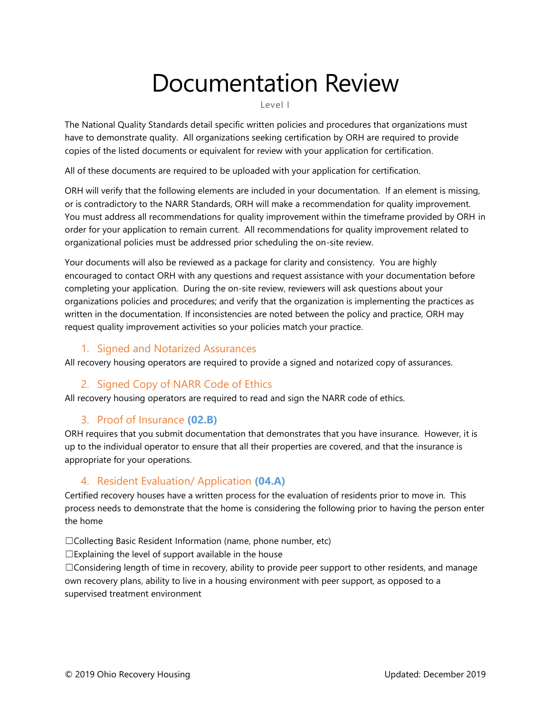# Documentation Review

Level I

The National Quality Standards detail specific written policies and procedures that organizations must have to demonstrate quality. All organizations seeking certification by ORH are required to provide copies of the listed documents or equivalent for review with your application for certification.

All of these documents are required to be uploaded with your application for certification.

ORH will verify that the following elements are included in your documentation. If an element is missing, or is contradictory to the NARR Standards, ORH will make a recommendation for quality improvement. You must address all recommendations for quality improvement within the timeframe provided by ORH in order for your application to remain current. All recommendations for quality improvement related to organizational policies must be addressed prior scheduling the on-site review.

Your documents will also be reviewed as a package for clarity and consistency. You are highly encouraged to contact ORH with any questions and request assistance with your documentation before completing your application. During the on-site review, reviewers will ask questions about your organizations policies and procedures; and verify that the organization is implementing the practices as written in the documentation. If inconsistencies are noted between the policy and practice, ORH may request quality improvement activities so your policies match your practice.

#### 1. Signed and Notarized Assurances

All recovery housing operators are required to provide a signed and notarized copy of assurances.

#### 2. Signed Copy of NARR Code of Ethics

All recovery housing operators are required to read and sign the NARR code of ethics.

#### 3. Proof of Insurance **(02.B)**

ORH requires that you submit documentation that demonstrates that you have insurance. However, it is up to the individual operator to ensure that all their properties are covered, and that the insurance is appropriate for your operations.

#### 4. Resident Evaluation/ Application **(04.A)**

Certified recovery houses have a written process for the evaluation of residents prior to move in. This process needs to demonstrate that the home is considering the following prior to having the person enter the home

☐Collecting Basic Resident Information (name, phone number, etc)

 $\square$ Explaining the level of support available in the house

☐Considering length of time in recovery, ability to provide peer support to other residents, and manage own recovery plans, ability to live in a housing environment with peer support, as opposed to a supervised treatment environment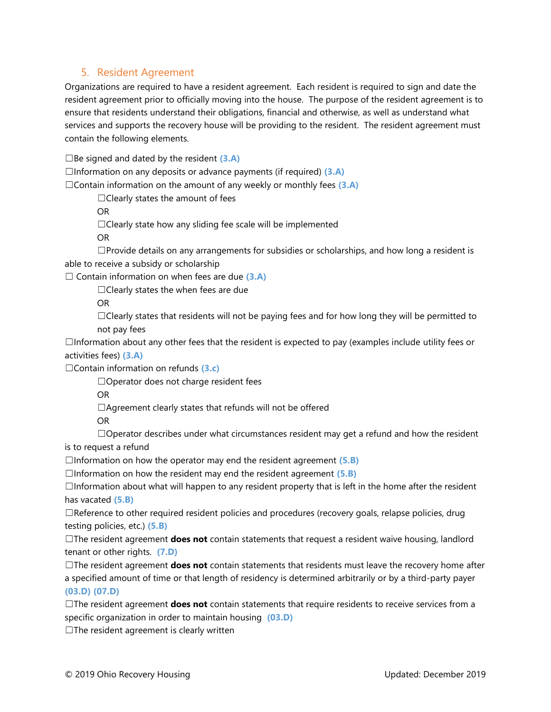#### 5. Resident Agreement

Organizations are required to have a resident agreement. Each resident is required to sign and date the resident agreement prior to officially moving into the house. The purpose of the resident agreement is to ensure that residents understand their obligations, financial and otherwise, as well as understand what services and supports the recovery house will be providing to the resident. The resident agreement must contain the following elements.

☐Be signed and dated by the resident **(3.A)**

☐Information on any deposits or advance payments (if required) **(3.A)**

☐Contain information on the amount of any weekly or monthly fees **(3.A)**

 $\Box$ Clearly states the amount of fees

OR

 $\Box$ Clearly state how any sliding fee scale will be implemented

OR

 $\Box$ Provide details on any arrangements for subsidies or scholarships, and how long a resident is able to receive a subsidy or scholarship

☐ Contain information on when fees are due **(3.A)**

☐Clearly states the when fees are due

OR

 $\Box$ Clearly states that residents will not be paying fees and for how long they will be permitted to not pay fees

 $\Box$ Information about any other fees that the resident is expected to pay (examples include utility fees or activities fees) **(3.A)**

☐Contain information on refunds **(3.c)**

☐Operator does not charge resident fees

OR

 $\Box$ Agreement clearly states that refunds will not be offered

OR

 $\Box$ Operator describes under what circumstances resident may get a refund and how the resident

is to request a refund

☐Information on how the operator may end the resident agreement **(5.B)**

☐Information on how the resident may end the resident agreement **(5.B)**

☐Information about what will happen to any resident property that is left in the home after the resident has vacated **(5.B)**

☐Reference to other required resident policies and procedures (recovery goals, relapse policies, drug testing policies, etc.) **(5.B)**

☐The resident agreement **does not** contain statements that request a resident waive housing, landlord tenant or other rights. **(7.D)**

☐The resident agreement **does not** contain statements that residents must leave the recovery home after a specified amount of time or that length of residency is determined arbitrarily or by a third-party payer **(03.D) (07.D)**

☐The resident agreement **does not** contain statements that require residents to receive services from a specific organization in order to maintain housing **(03.D)**

 $\Box$ The resident agreement is clearly written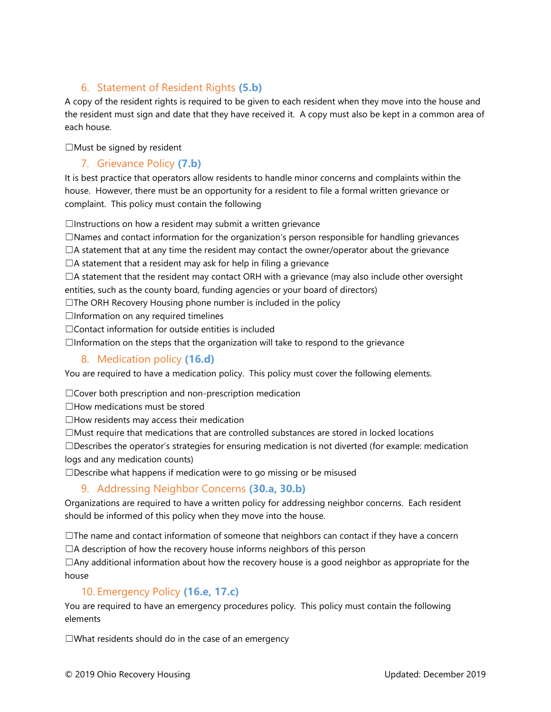# 6. Statement of Resident Rights **(5.b)**

A copy of the resident rights is required to be given to each resident when they move into the house and the resident must sign and date that they have received it. A copy must also be kept in a common area of each house.

☐Must be signed by resident

#### 7. Grievance Policy **(7.b)**

It is best practice that operators allow residents to handle minor concerns and complaints within the house. However, there must be an opportunity for a resident to file a formal written grievance or complaint. This policy must contain the following

 $\Box$ Instructions on how a resident may submit a written grievance

☐Names and contact information for the organization's person responsible for handling grievances

 $\Box$ A statement that at any time the resident may contact the owner/operator about the grievance

 $\Box$ A statement that a resident may ask for help in filing a grievance

 $\Box$ A statement that the resident may contact ORH with a grievance (may also include other oversight entities, such as the county board, funding agencies or your board of directors)

☐The ORH Recovery Housing phone number is included in the policy

 $\Box$ Information on any required timelines

☐Contact information for outside entities is included

 $\Box$ Information on the steps that the organization will take to respond to the grievance

#### 8. Medication policy **(16.d)**

You are required to have a medication policy. This policy must cover the following elements.

 $\Box$ Cover both prescription and non-prescription medication

☐How medications must be stored

☐How residents may access their medication

☐Must require that medications that are controlled substances are stored in locked locations

 $\square$ Describes the operator's strategies for ensuring medication is not diverted (for example: medication logs and any medication counts)

☐Describe what happens if medication were to go missing or be misused

## 9. Addressing Neighbor Concerns **(30.a, 30.b)**

Organizations are required to have a written policy for addressing neighbor concerns. Each resident should be informed of this policy when they move into the house.

 $\Box$ The name and contact information of someone that neighbors can contact if they have a concern  $\Box$ A description of how the recovery house informs neighbors of this person

 $\Box$ Any additional information about how the recovery house is a good neighbor as appropriate for the house

#### 10. Emergency Policy **(16.e, 17.c)**

You are required to have an emergency procedures policy. This policy must contain the following elements

☐What residents should do in the case of an emergency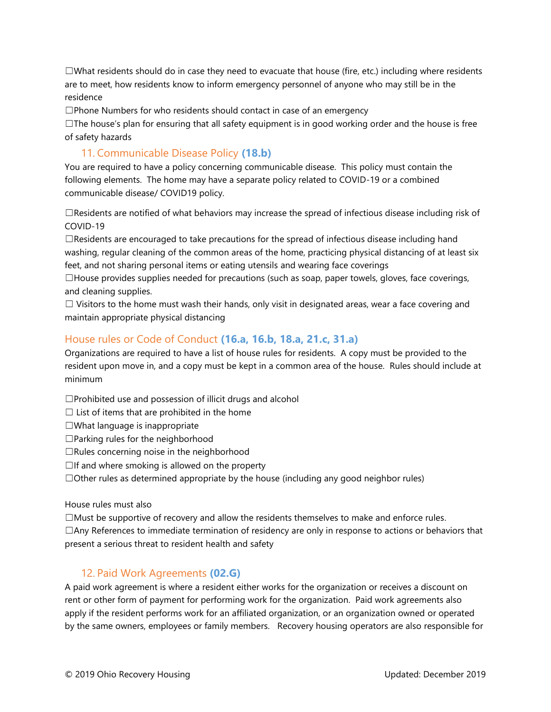$\Box$ What residents should do in case they need to evacuate that house (fire, etc.) including where residents are to meet, how residents know to inform emergency personnel of anyone who may still be in the residence

☐Phone Numbers for who residents should contact in case of an emergency

 $\Box$ The house's plan for ensuring that all safety equipment is in good working order and the house is free of safety hazards

#### 11. Communicable Disease Policy **(18.b)**

You are required to have a policy concerning communicable disease. This policy must contain the following elements. The home may have a separate policy related to COVID-19 or a combined communicable disease/ COVID19 policy.

 $\Box$ Residents are notified of what behaviors may increase the spread of infectious disease including risk of COVID-19

 $\Box$ Residents are encouraged to take precautions for the spread of infectious disease including hand washing, regular cleaning of the common areas of the home, practicing physical distancing of at least six feet, and not sharing personal items or eating utensils and wearing face coverings

 $\Box$ House provides supplies needed for precautions (such as soap, paper towels, gloves, face coverings, and cleaning supplies.

 $\Box$  Visitors to the home must wash their hands, only visit in designated areas, wear a face covering and maintain appropriate physical distancing

## House rules or Code of Conduct **(16.a, 16.b, 18.a, 21.c, 31.a)**

Organizations are required to have a list of house rules for residents. A copy must be provided to the resident upon move in, and a copy must be kept in a common area of the house. Rules should include at minimum

 $\square$ Prohibited use and possession of illicit drugs and alcohol

 $\Box$  List of items that are prohibited in the home

☐What language is inappropriate

 $\Box$ Parking rules for the neighborhood

☐Rules concerning noise in the neighborhood

 $\Box$ If and where smoking is allowed on the property

☐Other rules as determined appropriate by the house (including any good neighbor rules)

#### House rules must also

☐Must be supportive of recovery and allow the residents themselves to make and enforce rules. ☐Any References to immediate termination of residency are only in response to actions or behaviors that present a serious threat to resident health and safety

#### 12. Paid Work Agreements **(02.G)**

A paid work agreement is where a resident either works for the organization or receives a discount on rent or other form of payment for performing work for the organization. Paid work agreements also apply if the resident performs work for an affiliated organization, or an organization owned or operated by the same owners, employees or family members. Recovery housing operators are also responsible for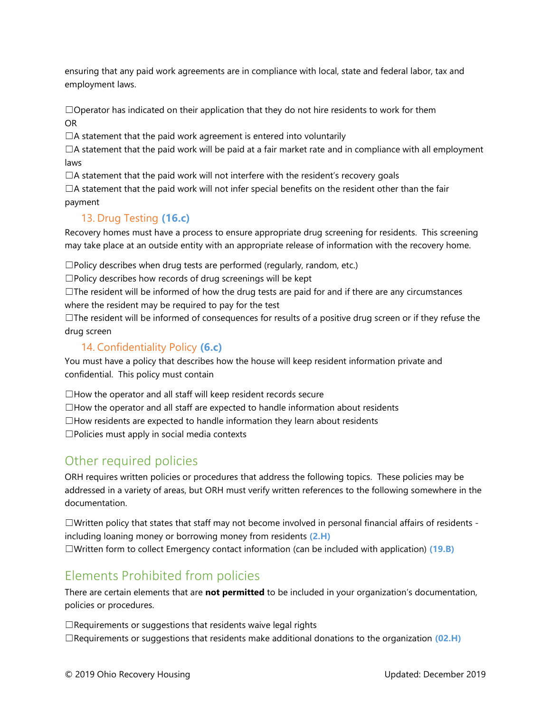ensuring that any paid work agreements are in compliance with local, state and federal labor, tax and employment laws.

 $\Box$ Operator has indicated on their application that they do not hire residents to work for them OR

□A statement that the paid work agreement is entered into voluntarily

 $\Box$ A statement that the paid work will be paid at a fair market rate and in compliance with all employment laws

 $\Box$ A statement that the paid work will not interfere with the resident's recovery goals

 $\Box$ A statement that the paid work will not infer special benefits on the resident other than the fair payment

## 13. Drug Testing **(16.c)**

Recovery homes must have a process to ensure appropriate drug screening for residents. This screening may take place at an outside entity with an appropriate release of information with the recovery home.

 $\square$ Policy describes when drug tests are performed (regularly, random, etc.)

 $\square$ Policy describes how records of drug screenings will be kept

 $\Box$ The resident will be informed of how the drug tests are paid for and if there are any circumstances where the resident may be required to pay for the test

☐The resident will be informed of consequences for results of a positive drug screen or if they refuse the drug screen

#### 14. Confidentiality Policy **(6.c)**

You must have a policy that describes how the house will keep resident information private and confidential. This policy must contain

 $\Box$  How the operator and all staff will keep resident records secure  $\Box$ How the operator and all staff are expected to handle information about residents  $\Box$ How residents are expected to handle information they learn about residents ☐Policies must apply in social media contexts

# Other required policies

ORH requires written policies or procedures that address the following topics. These policies may be addressed in a variety of areas, but ORH must verify written references to the following somewhere in the documentation.

☐Written policy that states that staff may not become involved in personal financial affairs of residents including loaning money or borrowing money from residents **(2.H)** ☐Written form to collect Emergency contact information (can be included with application) **(19.B)**

# Elements Prohibited from policies

There are certain elements that are **not permitted** to be included in your organization's documentation, policies or procedures.

□Requirements or suggestions that residents waive legal rights ☐Requirements or suggestions that residents make additional donations to the organization **(02.H)**